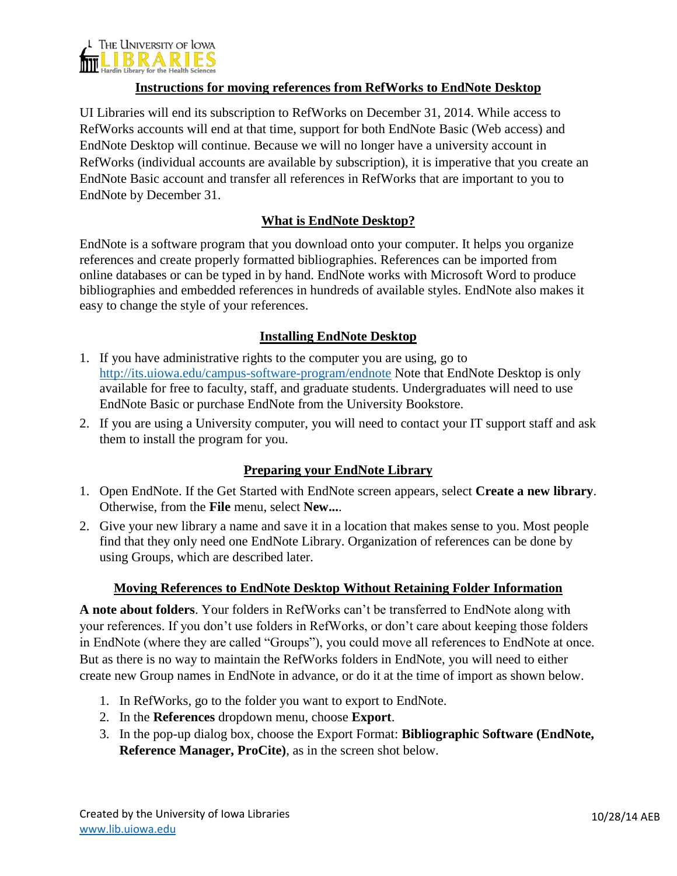

## **Instructions for moving references from RefWorks to EndNote Desktop**

UI Libraries will end its subscription to RefWorks on December 31, 2014. While access to RefWorks accounts will end at that time, support for both EndNote Basic (Web access) and EndNote Desktop will continue. Because we will no longer have a university account in RefWorks (individual accounts are available by subscription), it is imperative that you create an EndNote Basic account and transfer all references in RefWorks that are important to you to EndNote by December 31.

# **What is EndNote Desktop?**

EndNote is a software program that you download onto your computer. It helps you organize references and create properly formatted bibliographies. References can be imported from online databases or can be typed in by hand. EndNote works with Microsoft Word to produce bibliographies and embedded references in hundreds of available styles. EndNote also makes it easy to change the style of your references.

## **Installing EndNote Desktop**

- 1. If you have administrative rights to the computer you are using, go to <http://its.uiowa.edu/campus-software-program/endnote> Note that EndNote Desktop is only available for free to faculty, staff, and graduate students. Undergraduates will need to use EndNote Basic or purchase EndNote from the University Bookstore.
- 2. If you are using a University computer, you will need to contact your IT support staff and ask them to install the program for you.

### **Preparing your EndNote Library**

- 1. Open EndNote. If the Get Started with EndNote screen appears, select **Create a new library**. Otherwise, from the **File** menu, select **New...**.
- 2. Give your new library a name and save it in a location that makes sense to you. Most people find that they only need one EndNote Library. Organization of references can be done by using Groups, which are described later.

### **Moving References to EndNote Desktop Without Retaining Folder Information**

**A note about folders**. Your folders in RefWorks can't be transferred to EndNote along with your references. If you don't use folders in RefWorks, or don't care about keeping those folders in EndNote (where they are called "Groups"), you could move all references to EndNote at once. But as there is no way to maintain the RefWorks folders in EndNote, you will need to either create new Group names in EndNote in advance, or do it at the time of import as shown below.

- 1. In RefWorks, go to the folder you want to export to EndNote.
- 2. In the **References** dropdown menu, choose **Export**.
- 3. In the pop-up dialog box, choose the Export Format: **Bibliographic Software (EndNote, Reference Manager, ProCite)**, as in the screen shot below.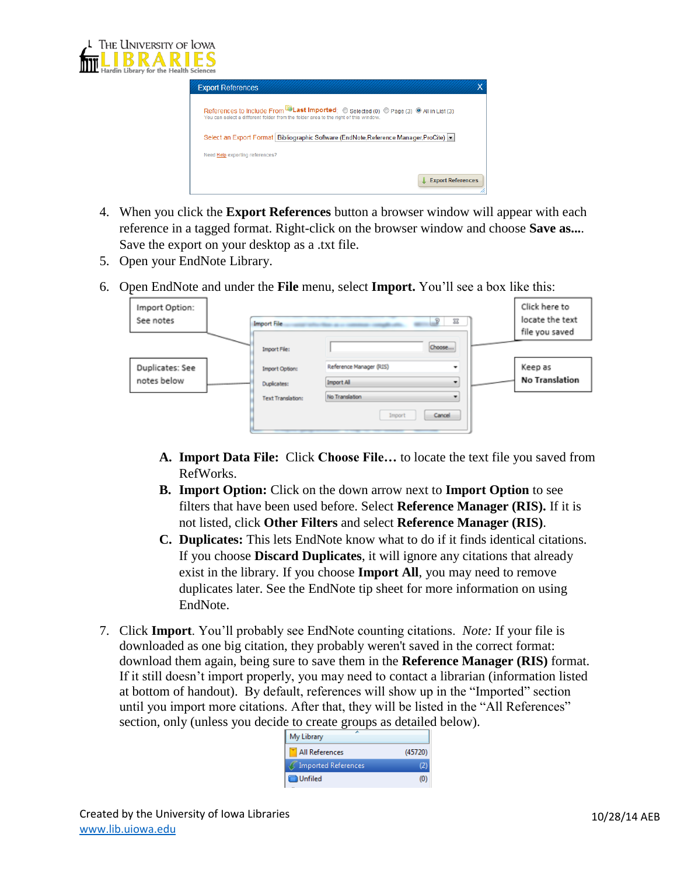



- 4. When you click the **Export References** button a browser window will appear with each reference in a tagged format. Right-click on the browser window and choose **Save as...**. Save the export on your desktop as a .txt file.
- 5. Open your EndNote Library.
- 6. Open EndNote and under the **File** menu, select **Import.** You'll see a box like this:

| Import Option:<br>See notes | <b>Import File</b>       | $\Sigma$<br>v           |                          |                       |
|-----------------------------|--------------------------|-------------------------|--------------------------|-----------------------|
|                             | Import File:             |                         | Choose                   |                       |
| Duplicates: See             | <b>Import Option:</b>    | Reference Manager (RIS) | $\blacksquare$           | Keep as               |
| notes below                 | Duplicates:              | Import All              | $\overline{\phantom{0}}$ | <b>No Translation</b> |
|                             | <b>Text Translation:</b> | No Translation          |                          |                       |
|                             |                          | Import                  | Cancel                   |                       |

- **A. Import Data File:** Click **Choose File…** to locate the text file you saved from RefWorks.
- **B. Import Option:** Click on the down arrow next to **Import Option** to see filters that have been used before. Select **Reference Manager (RIS).** If it is not listed, click **Other Filters** and select **Reference Manager (RIS)**.
- **C. Duplicates:** This lets EndNote know what to do if it finds identical citations. If you choose **Discard Duplicates**, it will ignore any citations that already exist in the library. If you choose **Import All**, you may need to remove duplicates later. See the EndNote tip sheet for more information on using EndNote.
- 7. Click **Import**. You'll probably see EndNote counting citations. *Note:* If your file is downloaded as one big citation, they probably weren't saved in the correct format: download them again, being sure to save them in the **Reference Manager (RIS)** format. If it still doesn't import properly, you may need to contact a librarian (information listed at bottom of handout). By default, references will show up in the "Imported" section until you import more citations. After that, they will be listed in the "All References" section, only (unless you decide to create groups as detailed below).

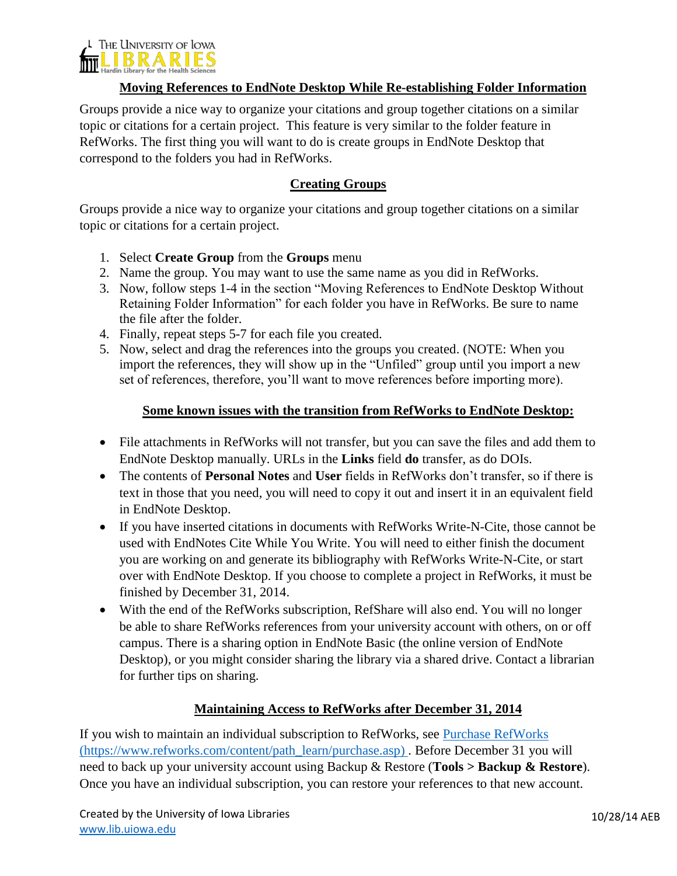

## **Moving References to EndNote Desktop While Re-establishing Folder Information**

Groups provide a nice way to organize your citations and group together citations on a similar topic or citations for a certain project. This feature is very similar to the folder feature in RefWorks. The first thing you will want to do is create groups in EndNote Desktop that correspond to the folders you had in RefWorks.

## **Creating Groups**

Groups provide a nice way to organize your citations and group together citations on a similar topic or citations for a certain project.

- 1. Select **Create Group** from the **Groups** menu
- 2. Name the group. You may want to use the same name as you did in RefWorks.
- 3. Now, follow steps 1-4 in the section "Moving References to EndNote Desktop Without Retaining Folder Information" for each folder you have in RefWorks. Be sure to name the file after the folder.
- 4. Finally, repeat steps 5-7 for each file you created.
- 5. Now, select and drag the references into the groups you created. (NOTE: When you import the references, they will show up in the "Unfiled" group until you import a new set of references, therefore, you'll want to move references before importing more).

## **Some known issues with the transition from RefWorks to EndNote Desktop:**

- File attachments in RefWorks will not transfer, but you can save the files and add them to EndNote Desktop manually. URLs in the **Links** field **do** transfer, as do DOIs.
- The contents of **Personal Notes** and **User** fields in RefWorks don't transfer, so if there is text in those that you need, you will need to copy it out and insert it in an equivalent field in EndNote Desktop.
- If you have inserted citations in documents with RefWorks Write-N-Cite, those cannot be used with EndNotes Cite While You Write. You will need to either finish the document you are working on and generate its bibliography with RefWorks Write-N-Cite, or start over with EndNote Desktop. If you choose to complete a project in RefWorks, it must be finished by December 31, 2014.
- With the end of the RefWorks subscription, RefShare will also end. You will no longer be able to share RefWorks references from your university account with others, on or off campus. There is a sharing option in EndNote Basic (the online version of EndNote Desktop), or you might consider sharing the library via a shared drive. Contact a librarian for further tips on sharing.

# **Maintaining Access to RefWorks after December 31, 2014**

If you wish to maintain an individual subscription to RefWorks, see [Purchase RefWorks](https://www.refworks.com/content/path_learn/purchase.asp) (https://www.refworks.com/content/path\_learn/purchase.asp) . Before December 31 you will need to back up your university account using Backup & Restore (**Tools > Backup & Restore**). Once you have an individual subscription, you can restore your references to that new account.